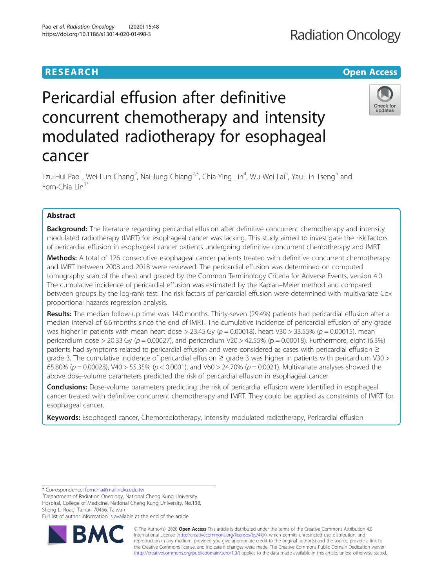# **RESEARCH CHE Open Access**

# **Radiation Oncology**

# Pericardial effusion after definitive concurrent chemotherapy and intensity modulated radiotherapy for esophageal cancer



Tzu-Hui Pao<sup>1</sup>, Wei-Lun Chang<sup>2</sup>, Nai-Jung Chiang<sup>2,3</sup>, Chia-Ying Lin<sup>4</sup>, Wu-Wei Lai<sup>5</sup>, Yau-Lin Tseng<sup>5</sup> and Forn-Chia Lin<sup>1\*</sup>

# Abstract

**Background:** The literature regarding pericardial effusion after definitive concurrent chemotherapy and intensity modulated radiotherapy (IMRT) for esophageal cancer was lacking. This study aimed to investigate the risk factors of pericardial effusion in esophageal cancer patients undergoing definitive concurrent chemotherapy and IMRT.

Methods: A total of 126 consecutive esophageal cancer patients treated with definitive concurrent chemotherapy and IMRT between 2008 and 2018 were reviewed. The pericardial effusion was determined on computed tomography scan of the chest and graded by the Common Terminology Criteria for Adverse Events, version 4.0. The cumulative incidence of pericardial effusion was estimated by the Kaplan–Meier method and compared between groups by the log-rank test. The risk factors of pericardial effusion were determined with multivariate Cox proportional hazards regression analysis.

Results: The median follow-up time was 14.0 months. Thirty-seven (29.4%) patients had pericardial effusion after a median interval of 6.6 months since the end of IMRT. The cumulative incidence of pericardial effusion of any grade was higher in patients with mean heart dose > 23.45 Gy ( $p = 0.00018$ ), heart V30 > 33.55% ( $p = 0.00015$ ), mean pericardium dose > 20.33 Gy ( $p = 0.00027$ ), and pericardium V20 > 42.55% ( $p = 0.00018$ ). Furthermore, eight (6.3%) patients had symptoms related to pericardial effusion and were considered as cases with pericardial effusion ≥ grade 3. The cumulative incidence of pericardial effusion  $\geq$  grade 3 was higher in patients with pericardium V30 > 65.80% ( $p = 0.00028$ ), V40 > 55.35% ( $p < 0.0001$ ), and V60 > 24.70% ( $p = 0.0021$ ). Multivariate analyses showed the above dose-volume parameters predicted the risk of pericardial effusion in esophageal cancer.

**Conclusions:** Dose-volume parameters predicting the risk of pericardial effusion were identified in esophageal cancer treated with definitive concurrent chemotherapy and IMRT. They could be applied as constraints of IMRT for esophageal cancer.

Keywords: Esophageal cancer, Chemoradiotherapy, Intensity modulated radiotherapy, Pericardial effusion

\* Correspondence: [fornchia@mail.ncku.edu.tw](mailto:fornchia@mail.ncku.edu.tw) <sup>1</sup>

<sup>1</sup>Department of Radiation Oncology, National Cheng Kung University Hospital, College of Medicine, National Cheng Kung University, No.138, Sheng Li Road, Tainan 70456, Taiwan

Full list of author information is available at the end of the article



© The Author(s). 2020 **Open Access** This article is distributed under the terms of the Creative Commons Attribution 4.0 International License [\(http://creativecommons.org/licenses/by/4.0/](http://creativecommons.org/licenses/by/4.0/)), which permits unrestricted use, distribution, and reproduction in any medium, provided you give appropriate credit to the original author(s) and the source, provide a link to the Creative Commons license, and indicate if changes were made. The Creative Commons Public Domain Dedication waiver [\(http://creativecommons.org/publicdomain/zero/1.0/](http://creativecommons.org/publicdomain/zero/1.0/)) applies to the data made available in this article, unless otherwise stated.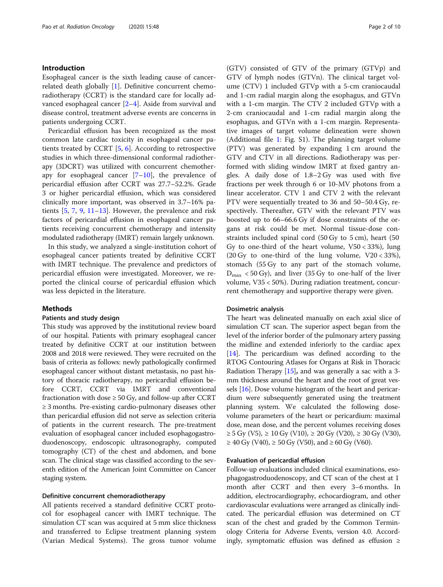# Introduction

Esophageal cancer is the sixth leading cause of cancerrelated death globally [\[1](#page-8-0)]. Definitive concurrent chemoradiotherapy (CCRT) is the standard care for locally advanced esophageal cancer [\[2](#page-8-0)–[4](#page-8-0)]. Aside from survival and disease control, treatment adverse events are concerns in patients undergoing CCRT.

Pericardial effusion has been recognized as the most common late cardiac toxicity in esophageal cancer patients treated by CCRT [\[5](#page-8-0), [6](#page-8-0)]. According to retrospective studies in which three-dimensional conformal radiotherapy (3DCRT) was utilized with concurrent chemotherapy for esophageal cancer  $[7-10]$  $[7-10]$  $[7-10]$  $[7-10]$  $[7-10]$ , the prevalence of pericardial effusion after CCRT was 27.7–52.2%. Grade 3 or higher pericardial effusion, which was considered clinically more important, was observed in 3.7–16% patients [[5,](#page-8-0) [7](#page-8-0), [9,](#page-8-0) [11](#page-8-0)–[13\]](#page-8-0). However, the prevalence and risk factors of pericardial effusion in esophageal cancer patients receiving concurrent chemotherapy and intensity modulated radiotherapy (IMRT) remain largely unknown.

In this study, we analyzed a single-institution cohort of esophageal cancer patients treated by definitive CCRT with IMRT technique. The prevalence and predictors of pericardial effusion were investigated. Moreover, we reported the clinical course of pericardial effusion which was less depicted in the literature.

# Methods

# Patients and study design

This study was approved by the institutional review board of our hospital. Patients with primary esophageal cancer treated by definitive CCRT at our institution between 2008 and 2018 were reviewed. They were recruited on the basis of criteria as follows: newly pathologically confirmed esophageal cancer without distant metastasis, no past history of thoracic radiotherapy, no pericardial effusion before CCRT, CCRT via IMRT and conventional fractionation with dose  $\geq 50$  Gy, and follow-up after CCRT ≥ 3 months. Pre-existing cardio-pulmonary diseases other than pericardial effusion did not serve as selection criteria of patients in the current research. The pre-treatment evaluation of esophageal cancer included esophagogastroduodenoscopy, endoscopic ultrasonography, computed tomography (CT) of the chest and abdomen, and bone scan. The clinical stage was classified according to the seventh edition of the American Joint Committee on Cancer staging system.

# Definitive concurrent chemoradiotherapy

All patients received a standard definitive CCRT protocol for esophageal cancer with IMRT technique. The simulation CT scan was acquired at 5 mm slice thickness and transferred to Eclipse treatment planning system (Varian Medical Systems). The gross tumor volume (GTV) consisted of GTV of the primary (GTVp) and GTV of lymph nodes (GTVn). The clinical target volume (CTV) 1 included GTVp with a 5-cm craniocaudal and 1-cm radial margin along the esophagus, and GTVn with a 1-cm margin. The CTV 2 included GTVp with a 2-cm craniocaudal and 1-cm radial margin along the esophagus, and GTVn with a 1-cm margin. Representative images of target volume delineation were shown (Additional file [1:](#page-8-0) Fig. S1). The planning target volume (PTV) was generated by expanding 1 cm around the GTV and CTV in all directions. Radiotherapy was performed with sliding window IMRT at fixed gantry angles. A daily dose of 1.8–2 Gy was used with five fractions per week through 6 or 10-MV photons from a linear accelerator. CTV 1 and CTV 2 with the relevant PTV were sequentially treated to 36 and 50–50.4 Gy, respectively. Thereafter, GTV with the relevant PTV was boosted up to 66–66.6 Gy if dose constraints of the organs at risk could be met. Normal tissue-dose constraints included spinal cord (50 Gy to 5 cm), heart (50 Gy to one-third of the heart volume,  $V50 < 33$ %), lung (20 Gy to one-third of the lung volume,  $V20 < 33\%$ ), stomach (55 Gy to any part of the stomach volume,  $D_{\text{max}}$  < 50 Gy), and liver (35 Gy to one-half of the liver volume, V35 < 50%). During radiation treatment, concurrent chemotherapy and supportive therapy were given.

### Dosimetric analysis

The heart was delineated manually on each axial slice of simulation CT scan. The superior aspect began from the level of the inferior border of the pulmonary artery passing the midline and extended inferiorly to the cardiac apex [[14](#page-8-0)]. The pericardium was defined according to the RTOG Contouring Atlases for Organs at Risk in Thoracic Radiation Therapy  $[15]$  $[15]$  $[15]$ , and was generally a sac with a 3mm thickness around the heart and the root of great vessels [[16](#page-8-0)]. Dose volume histogram of the heart and pericardium were subsequently generated using the treatment planning system. We calculated the following dosevolume parameters of the heart or pericardium: maximal dose, mean dose, and the percent volumes receiving doses  $≥ 5$  Gy (V5),  $≥ 10$  Gy (V10),  $≥ 20$  Gy (V20),  $≥ 30$  Gy (V30), ≥ 40 Gy (V40), ≥ 50 Gy (V50), and ≥ 60 Gy (V60).

# Evaluation of pericardial effusion

Follow-up evaluations included clinical examinations, esophagogastroduodenoscopy, and CT scan of the chest at 1 month after CCRT and then every 3–6 months. In addition, electrocardiography, echocardiogram, and other cardiovascular evaluations were arranged as clinically indicated. The pericardial effusion was determined on CT scan of the chest and graded by the Common Terminology Criteria for Adverse Events, version 4.0. Accordingly, symptomatic effusion was defined as effusion ≥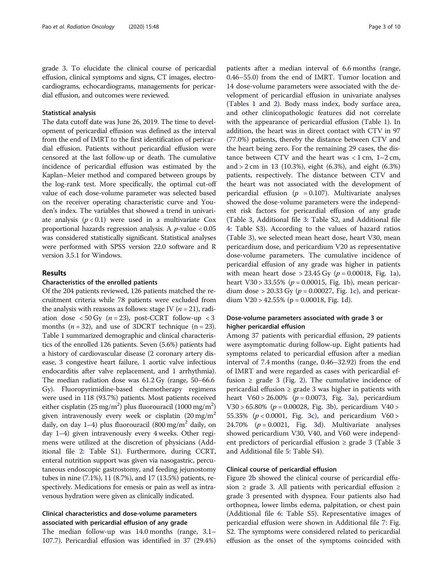grade 3. To elucidate the clinical course of pericardial effusion, clinical symptoms and signs, CT images, electrocardiograms, echocardiograms, managements for pericardial effusion, and outcomes were reviewed.

# Statistical analysis

The data cutoff date was June 26, 2019. The time to development of pericardial effusion was defined as the interval from the end of IMRT to the first identification of pericardial effusion. Patients without pericardial effusion were censored at the last follow-up or death. The cumulative incidence of pericardial effusion was estimated by the Kaplan–Meier method and compared between groups by the log-rank test. More specifically, the optimal cut-off value of each dose-volume parameter was selected based on the receiver operating characteristic curve and Youden's index. The variables that showed a trend in univariate analysis  $(p < 0.1)$  were used in a multivariate Cox proportional hazards regression analysis. A  $p$ -value  $< 0.05$ was considered statistically significant. Statistical analyses were performed with SPSS version 22.0 software and R version 3.5.1 for Windows.

# Results

# Characteristics of the enrolled patients

Of the 204 patients reviewed, 126 patients matched the recruitment criteria while 78 patients were excluded from the analysis with reasons as follows: stage IV ( $n = 21$ ), radiation dose  $\langle 50 \text{ Gy } (n = 23)$ , post-CCRT follow-up  $\langle 3 \rangle$ months  $(n = 32)$ , and use of 3DCRT technique  $(n = 23)$ . Table [1](#page-3-0) summarized demographic and clinical characteristics of the enrolled 126 patients. Seven (5.6%) patients had a history of cardiovascular disease (2 coronary artery disease, 3 congestive heart failure, 1 aortic valve infectious endocarditis after valve replacement, and 1 arrhythmia). The median radiation dose was 61.2 Gy (range, 50–66.6 Gy). Fluoropyrimidine-based chemotherapy regimens were used in 118 (93.7%) patients. Most patients received either cisplatin (25 mg/m<sup>2</sup>) plus fluorouracil (1000 mg/m<sup>2</sup>) given intravenously every week or cisplatin  $(20 \text{ mg/m}^2)$ daily, on day  $1-4$ ) plus fluorouracil (800 mg/m<sup>2</sup> daily, on day 1–4) given intravenously every 4 weeks. Other regimens were utilized at the discretion of physicians (Additional file [2:](#page-8-0) Table S1). Furthermore, during CCRT, enteral nutrition support was given via nasogastric, percutaneous endoscopic gastrostomy, and feeding jejunostomy tubes in nine (7.1%), 11 (8.7%), and 17 (13.5%) patients, respectively. Medications for emesis or pain as well as intravenous hydration were given as clinically indicated.

# Clinical characteristics and dose-volume parameters associated with pericardial effusion of any grade

The median follow-up was 14.0 months (range, 3.1– 107.7). Pericardial effusion was identified in 37 (29.4%) patients after a median interval of 6.6 months (range, 0.46–55.0) from the end of IMRT. Tumor location and 14 dose-volume parameters were associated with the development of pericardial effusion in univariate analyses (Tables [1](#page-3-0) and [2](#page-4-0)). Body mass index, body surface area, and other clinicopathologic features did not correlate with the appearance of pericardial effusion (Table [1](#page-3-0)). In addition, the heart was in direct contact with CTV in 97 (77.0%) patients, thereby the distance between CTV and the heart being zero. For the remaining 29 cases, the distance between CTV and the heart was  $< 1$  cm,  $1 - 2$  cm, and > 2 cm in 13 (10.3%), eight (6.3%), and eight (6.3%) patients, respectively. The distance between CTV and the heart was not associated with the development of pericardial effusion ( $p = 0.107$ ). Multivariate analyses showed the dose-volume parameters were the independent risk factors for pericardial effusion of any grade (Table [3](#page-4-0), Additional file [3:](#page-8-0) Table S2, and Additional file [4:](#page-8-0) Table S3). According to the values of hazard ratios (Table [3\)](#page-4-0), we selected mean heart dose, heart V30, mean pericardium dose, and pericardium V20 as representative dose-volume parameters. The cumulative incidence of pericardial effusion of any grade was higher in patients with mean heart dose > 23.45 Gy ( $p = 0.00018$ , Fig. [1a](#page-5-0)), heart V30 > 33.55% ( $p = 0.00015$  $p = 0.00015$  $p = 0.00015$ , Fig. 1b), mean pericardium dose > 20.33 Gy ( $p = 0.00027$ , Fig. [1](#page-5-0)c), and pericardium  $V20 > 42.55\%$  (p = 0.000[1](#page-5-0)8, Fig. 1d).

# Dose-volume parameters associated with grade 3 or higher pericardial effusion

Among 37 patients with pericardial effusion, 29 patients were asymptomatic during follow-up. Eight patients had symptoms related to pericardial effusion after a median interval of 7.4 months (range, 0.46–32.92) from the end of IMRT and were regarded as cases with pericardial effusion  $\ge$  grade 3 (Fig. [2\)](#page-6-0). The cumulative incidence of pericardial effusion  $\geq$  grade 3 was higher in patients with heart  $V60 > 26.00\%$  ( $p = 0.0073$ , Fig. [3a](#page-7-0)), pericardium  $V30 > 65.80\%$  ( $p = 0.00028$ , Fig. [3b](#page-7-0)), pericardium  $V40 >$ 55.35% ( $p < 0.0001$ , Fig. [3c](#page-7-0)), and pericardium V60 > 24.70%  $(p = 0.0021,$  Fig. [3d](#page-7-0)). Multivariate analyses showed pericardium V30, V40, and V60 were independent predictors of pericardial effusion  $\ge$  grade [3](#page-4-0) (Table 3 and Additional file [5](#page-8-0): Table S4).

# Clinical course of pericardial effusion

Figure [2](#page-6-0)b showed the clinical course of pericardial effusion ≥ grade 3. All patients with pericardial effusion ≥ grade 3 presented with dyspnea. Four patients also had orthopnea, lower limbs edema, palpitation, or chest pain (Additional file [6](#page-8-0): Table S5). Representative images of pericardial effusion were shown in Additional file [7](#page-8-0): Fig. S2. The symptoms were considered related to pericardial effusion as the onset of the symptoms coincided with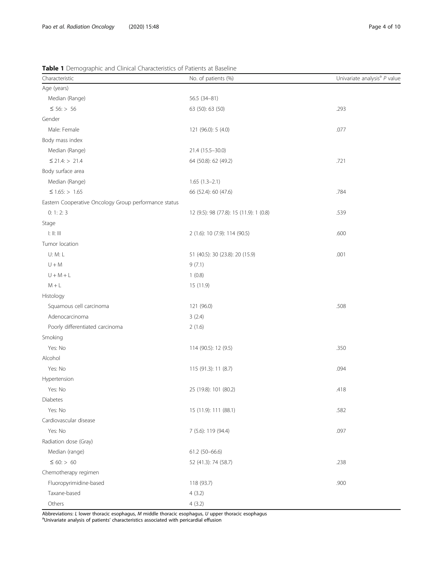# <span id="page-3-0"></span>Table 1 Demographic and Clinical Characteristics of Patients at Baseline

| Characteristic                                                                      | No. of patients (%)                     | Univariate analysis <sup>a</sup> P value |
|-------------------------------------------------------------------------------------|-----------------------------------------|------------------------------------------|
| Age (years)                                                                         |                                         |                                          |
| Median (Range)                                                                      | 56.5 (34-81)                            |                                          |
| $\leq 56$ : > 56                                                                    | 63 (50): 63 (50)                        | .293                                     |
| Gender                                                                              |                                         |                                          |
| Male: Female                                                                        | 121 (96.0): 5 (4.0)                     | .077                                     |
| Body mass index                                                                     |                                         |                                          |
| Median (Range)                                                                      | 21.4 (15.5-30.0)                        |                                          |
| $\leq$ 21.4: > 21.4                                                                 | 64 (50.8): 62 (49.2)                    | .721                                     |
| Body surface area                                                                   |                                         |                                          |
| Median (Range)                                                                      | $1.65(1.3-2.1)$                         |                                          |
| $\leq 1.65$ : > 1.65                                                                | 66 (52.4): 60 (47.6)                    | .784                                     |
| Eastern Cooperative Oncology Group performance status                               |                                         |                                          |
| 0: 1: 2: 3                                                                          | 12 (9.5): 98 (77.8): 15 (11.9): 1 (0.8) | .539                                     |
| Stage                                                                               |                                         |                                          |
| $\mathop{\rm l\mskip-4mu l\mskip-4mu l}$ . $\mathop{\rm l\mskip-4mu l\mskip-4mu l}$ | 2 (1.6): 10 (7.9): 114 (90.5)           | .600                                     |
| Tumor location                                                                      |                                         |                                          |
| U: M: L                                                                             | 51 (40.5): 30 (23.8): 20 (15.9)         | .001                                     |
| $\mathsf{U}+\mathsf{M}$                                                             | 9(7.1)                                  |                                          |
| $U + M + L$                                                                         | 1(0.8)                                  |                                          |
| $M + L$                                                                             | 15 (11.9)                               |                                          |
| Histology                                                                           |                                         |                                          |
| Squamous cell carcinoma                                                             | 121 (96.0)                              | .508                                     |
| Adenocarcinoma                                                                      | 3(2.4)                                  |                                          |
| Poorly differentiated carcinoma                                                     | 2(1.6)                                  |                                          |
| Smoking                                                                             |                                         |                                          |
| Yes: No                                                                             | 114 (90.5): 12 (9.5)                    | .350                                     |
| Alcohol                                                                             |                                         |                                          |
| Yes: No                                                                             | 115 (91.3): 11 (8.7)                    | .094                                     |
| Hypertension                                                                        |                                         |                                          |
| Yes: No                                                                             | 25 (19.8): 101 (80.2)                   | .418                                     |
| Diabetes                                                                            |                                         |                                          |
| Yes: No                                                                             | 15 (11.9): 111 (88.1)                   | .582                                     |
| Cardiovascular disease                                                              |                                         |                                          |
| Yes: No                                                                             | 7 (5.6): 119 (94.4)                     | .097                                     |
| Radiation dose (Gray)                                                               |                                         |                                          |
| Median (range)                                                                      | 61.2 (50-66.6)                          |                                          |
| $\leq 60$ : > 60                                                                    | 52 (41.3): 74 (58.7)                    | .238                                     |
| Chemotherapy regimen                                                                |                                         |                                          |
| Fluoropyrimidine-based                                                              | 118 (93.7)                              | .900                                     |
| Taxane-based                                                                        | 4(3.2)                                  |                                          |
| Others                                                                              | 4(3.2)                                  |                                          |

Abbreviations: *L* lower thoracic esophagus, M middle thoracic esophagus, U upper thoracic esophagus<br><sup>a</sup>Univariate analysis of patients' characteristics associated with pericardial effusion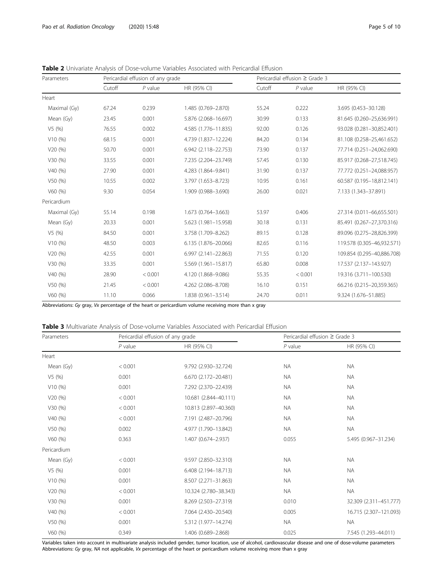| Parameters   | Pericardial effusion of any grade |           |                      | Pericardial effusion $\geq$ Grade 3 |           |                            |
|--------------|-----------------------------------|-----------|----------------------|-------------------------------------|-----------|----------------------------|
|              | Cutoff                            | $P$ value | HR (95% CI)          | Cutoff                              | $P$ value | HR (95% CI)                |
| Heart        |                                   |           |                      |                                     |           |                            |
| Maximal (Gy) | 67.24                             | 0.239     | 1.485 (0.769-2.870)  | 55.24                               | 0.222     | 3.695 (0.453-30.128)       |
| Mean (Gy)    | 23.45                             | 0.001     | 5.876 (2.068-16.697) | 30.99                               | 0.133     | 81.645 (0.260-25,636.991)  |
| V5(%)        | 76.55                             | 0.002     | 4.585 (1.776-11.835) | 92.00                               | 0.126     | 93.028 (0.281-30,852.401)  |
| V10(%)       | 68.15                             | 0.001     | 4.739 (1.837-12.224) | 84.20                               | 0.134     | 81.108 (0.258-25,461.652)  |
| V20(%)       | 50.70                             | 0.001     | 6.942 (2.118-22.753) | 73.90                               | 0.137     | 77.714 (0.251-24,062.690)  |
| V30(%)       | 33.55                             | 0.001     | 7.235 (2.204-23.749) | 57.45                               | 0.130     | 85.917 (0.268-27,518.745)  |
| V40(%)       | 27.90                             | 0.001     | 4.283 (1.864-9.841)  | 31.90                               | 0.137     | 77.772 (0.251-24,088.957)  |
| V50(%)       | 10.55                             | 0.002     | 3.797 (1.653-8.723)  | 10.95                               | 0.161     | 60.587 (0.195-18,812.141)  |
| V60(%)       | 9.30                              | 0.054     | 1.909 (0.988-3.690)  | 26.00                               | 0.021     | 7.133 (1.343-37.891)       |
| Pericardium  |                                   |           |                      |                                     |           |                            |
| Maximal (Gy) | 55.14                             | 0.198     | 1.673 (0.764-3.663)  | 53.97                               | 0.406     | 27.314 (0.011-66,655.501)  |
| Mean (Gy)    | 20.33                             | 0.001     | 5.623 (1.981-15.958) | 30.18                               | 0.131     | 85.491 (0.267-27,370.316)  |
| V5(%)        | 84.50                             | 0.001     | 3.758 (1.709-8.262)  | 89.15                               | 0.128     | 89.096 (0.275-28,826.399)  |
| V10(%)       | 48.50                             | 0.003     | 6.135 (1.876-20.066) | 82.65                               | 0.116     | 119.578 (0.305-46,932.571) |
| V20(%)       | 42.55                             | 0.001     | 6.997 (2.141-22.863) | 71.55                               | 0.120     | 109.854 (0.295-40,886.708) |
| V30(%)       | 33.35                             | 0.001     | 5.569 (1.961-15.817) | 65.80                               | 0.008     | 17.537 (2.137-143.927)     |
| V40(%)       | 28.90                             | < 0.001   | 4.120 (1.868-9.086)  | 55.35                               | < 0.001   | 19.316 (3.711-100.530)     |
| V50(%)       | 21.45                             | < 0.001   | 4.262 (2.086-8.708)  | 16.10                               | 0.151     | 66.216 (0.215-20,359.365)  |
| V60(%)       | 11.10                             | 0.066     | 1.838 (0.961-3.514)  | 24.70                               | 0.011     | 9.324 (1.676-51.885)       |

<span id="page-4-0"></span>Table 2 Univariate Analysis of Dose-volume Variables Associated with Pericardial Effusion

Abbreviations: Gy gray, Vx percentage of the heart or pericardium volume receiving more than x gray

| Parameters  | Pericardial effusion of any grade |                       | Pericardial effusion ≥ Grade 3 |                        |  |
|-------------|-----------------------------------|-----------------------|--------------------------------|------------------------|--|
|             | $P$ value                         | HR (95% CI)           | $P$ value                      | HR (95% CI)            |  |
| Heart       |                                   |                       |                                |                        |  |
| Mean (Gy)   | < 0.001                           | 9.792 (2.930-32.724)  | <b>NA</b>                      | <b>NA</b>              |  |
| V5(%)       | 0.001                             | 6.670 (2.172-20.481)  | <b>NA</b>                      | <b>NA</b>              |  |
| V10(%)      | 0.001                             | 7.292 (2.370-22.439)  | <b>NA</b>                      | <b>NA</b>              |  |
| V20(%)      | < 0.001                           | 10.681 (2.844-40.111) | <b>NA</b>                      | <b>NA</b>              |  |
| V30(%)      | < 0.001                           | 10.813 (2.897-40.360) | <b>NA</b>                      | <b>NA</b>              |  |
| V40(%)      | < 0.001                           | 7.191 (2.487-20.796)  | <b>NA</b>                      | <b>NA</b>              |  |
| V50(%)      | 0.002                             | 4.977 (1.790-13.842)  | <b>NA</b>                      | <b>NA</b>              |  |
| V60(%)      | 0.363                             | 1.407 (0.674-2.937)   | 0.055                          | 5.495 (0.967-31.234)   |  |
| Pericardium |                                   |                       |                                |                        |  |
| Mean (Gy)   | < 0.001                           | 9.597 (2.850-32.310)  | <b>NA</b>                      | <b>NA</b>              |  |
| V5(%)       | 0.001                             | 6.408 (2.194-18.713)  | <b>NA</b>                      | <b>NA</b>              |  |
| V10(%)      | 0.001                             | 8.507 (2.271-31.863)  | <b>NA</b>                      | <b>NA</b>              |  |
| V20(%)      | < 0.001                           | 10.324 (2.780-38.343) | <b>NA</b>                      | <b>NA</b>              |  |
| V30(%)      | 0.001                             | 8.269 (2.503-27.319)  | 0.010                          | 32.309 (2.311-451.777) |  |
| V40 (%)     | < 0.001                           | 7.064 (2.430-20.540)  | 0.005                          | 16.715 (2.307-121.093) |  |
| V50(%)      | 0.001                             | 5.312 (1.977-14.274)  | <b>NA</b>                      | <b>NA</b>              |  |
| V60(%)      | 0.349                             | 1.406 (0.689-2.868)   | 0.025                          | 7.545 (1.293-44.011)   |  |

Variables taken into account in multivariate analysis included gender, tumor location, use of alcohol, cardiovascular disease and one of dose-volume parameters Abbreviations: Gy gray, NA not applicable, Vx percentage of the heart or pericardium volume receiving more than x gray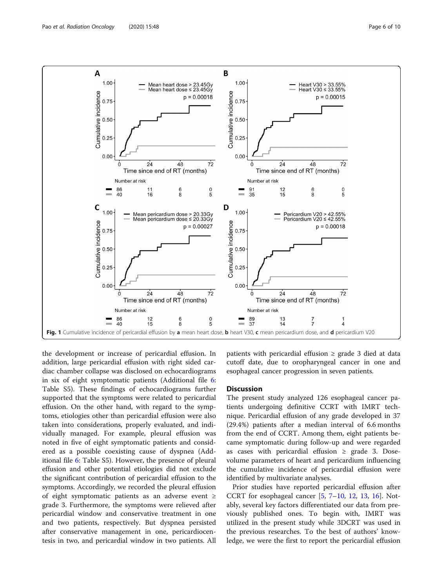<span id="page-5-0"></span>

the development or increase of pericardial effusion. In addition, large pericardial effusion with right sided cardiac chamber collapse was disclosed on echocardiograms in six of eight symptomatic patients (Additional file [6](#page-8-0): Table S5). These findings of echocardiograms further supported that the symptoms were related to pericardial effusion. On the other hand, with regard to the symptoms, etiologies other than pericardial effusion were also taken into considerations, properly evaluated, and individually managed. For example, pleural effusion was noted in five of eight symptomatic patients and considered as a possible coexisting cause of dyspnea (Additional file [6:](#page-8-0) Table S5). However, the presence of pleural effusion and other potential etiologies did not exclude the significant contribution of pericardial effusion to the symptoms. Accordingly, we recorded the pleural effusion of eight symptomatic patients as an adverse event ≥ grade 3. Furthermore, the symptoms were relieved after pericardial window and conservative treatment in one and two patients, respectively. But dyspnea persisted after conservative management in one, pericardiocentesis in two, and pericardial window in two patients. All patients with pericardial effusion  $\geq$  grade 3 died at data cutoff date, due to oropharyngeal cancer in one and esophageal cancer progression in seven patients.

# **Discussion**

The present study analyzed 126 esophageal cancer patients undergoing definitive CCRT with IMRT technique. Pericardial effusion of any grade developed in 37 (29.4%) patients after a median interval of 6.6 months from the end of CCRT. Among them, eight patients became symptomatic during follow-up and were regarded as cases with pericardial effusion  $\geq$  grade 3. Dosevolume parameters of heart and pericardium influencing the cumulative incidence of pericardial effusion were identified by multivariate analyses.

Prior studies have reported pericardial effusion after CCRT for esophageal cancer  $[5, 7–10, 12, 13, 16]$  $[5, 7–10, 12, 13, 16]$  $[5, 7–10, 12, 13, 16]$  $[5, 7–10, 12, 13, 16]$  $[5, 7–10, 12, 13, 16]$  $[5, 7–10, 12, 13, 16]$  $[5, 7–10, 12, 13, 16]$  $[5, 7–10, 12, 13, 16]$  $[5, 7–10, 12, 13, 16]$  $[5, 7–10, 12, 13, 16]$  $[5, 7–10, 12, 13, 16]$  $[5, 7–10, 12, 13, 16]$ . Notably, several key factors differentiated our data from previously published ones. To begin with, IMRT was utilized in the present study while 3DCRT was used in the previous researches. To the best of authors' knowledge, we were the first to report the pericardial effusion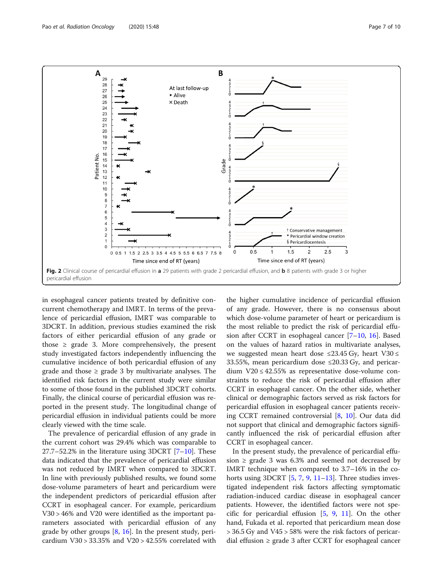<span id="page-6-0"></span>

in esophageal cancer patients treated by definitive concurrent chemotherapy and IMRT. In terms of the prevalence of pericardial effusion, IMRT was comparable to 3DCRT. In addition, previous studies examined the risk factors of either pericardial effusion of any grade or those  $\geq$  grade 3. More comprehensively, the present study investigated factors independently influencing the cumulative incidence of both pericardial effusion of any grade and those  $\geq$  grade 3 by multivariate analyses. The identified risk factors in the current study were similar to some of those found in the published 3DCRT cohorts. Finally, the clinical course of pericardial effusion was reported in the present study. The longitudinal change of pericardial effusion in individual patients could be more clearly viewed with the time scale.

The prevalence of pericardial effusion of any grade in the current cohort was 29.4% which was comparable to  $27.7-52.2\%$  $27.7-52.2\%$  $27.7-52.2\%$  in the literature using 3DCRT [7-[10\]](#page-8-0). These data indicated that the prevalence of pericardial effusion was not reduced by IMRT when compared to 3DCRT. In line with previously published results, we found some dose-volume parameters of heart and pericardium were the independent predictors of pericardial effusion after CCRT in esophageal cancer. For example, pericardium V30 > 46% and V20 were identified as the important parameters associated with pericardial effusion of any grade by other groups  $[8, 16]$  $[8, 16]$  $[8, 16]$  $[8, 16]$ . In the present study, pericardium V30 > 33.35% and V20 > 42.55% correlated with

the higher cumulative incidence of pericardial effusion of any grade. However, there is no consensus about which dose-volume parameter of heart or pericardium is the most reliable to predict the risk of pericardial effusion after CCRT in esophageal cancer [[7](#page-8-0)–[10](#page-8-0), [16](#page-8-0)]. Based on the values of hazard ratios in multivariate analyses, we suggested mean heart dose  $\leq$ 23.45 Gy, heart V30  $\leq$ 33.55%, mean pericardium dose ≤20.33 Gy, and pericardium V20 ≤ 42.55% as representative dose-volume constraints to reduce the risk of pericardial effusion after CCRT in esophageal cancer. On the other side, whether clinical or demographic factors served as risk factors for pericardial effusion in esophageal cancer patients receiving CCRT remained controversial [\[8](#page-8-0), [10](#page-8-0)]. Our data did not support that clinical and demographic factors significantly influenced the risk of pericardial effusion after CCRT in esophageal cancer.

In the present study, the prevalence of pericardial effusion  $\ge$  grade 3 was 6.3% and seemed not decreased by IMRT technique when compared to 3.7–16% in the cohorts using 3DCRT  $[5, 7, 9, 11-13]$  $[5, 7, 9, 11-13]$  $[5, 7, 9, 11-13]$  $[5, 7, 9, 11-13]$  $[5, 7, 9, 11-13]$  $[5, 7, 9, 11-13]$  $[5, 7, 9, 11-13]$  $[5, 7, 9, 11-13]$  $[5, 7, 9, 11-13]$  $[5, 7, 9, 11-13]$ . Three studies investigated independent risk factors affecting symptomatic radiation-induced cardiac disease in esophageal cancer patients. However, the identified factors were not specific for pericardial effusion  $[5, 9, 11]$  $[5, 9, 11]$  $[5, 9, 11]$  $[5, 9, 11]$  $[5, 9, 11]$  $[5, 9, 11]$ . On the other hand, Fukada et al. reported that pericardium mean dose > 36.5 Gy and V45 > 58% were the risk factors of pericardial effusion  $\geq$  grade 3 after CCRT for esophageal cancer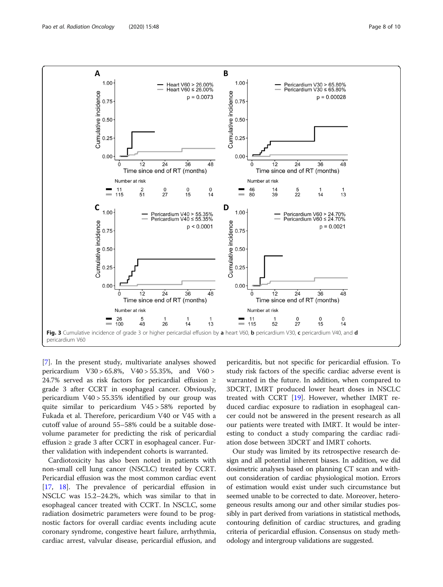<span id="page-7-0"></span>

[[7\]](#page-8-0). In the present study, multivariate analyses showed pericardium V30 > 65.8%, V40 > 55.35%, and V60 > 24.7% served as risk factors for pericardial effusion ≥ grade 3 after CCRT in esophageal cancer. Obviously, pericardium V40 > 55.35% identified by our group was quite similar to pericardium V45 > 58% reported by Fukada et al. Therefore, pericardium V40 or V45 with a cutoff value of around 55–58% could be a suitable dosevolume parameter for predicting the risk of pericardial effusion ≥ grade 3 after CCRT in esophageal cancer. Further validation with independent cohorts is warranted.

Cardiotoxicity has also been noted in patients with non-small cell lung cancer (NSCLC) treated by CCRT. Pericardial effusion was the most common cardiac event [[17,](#page-9-0) [18](#page-9-0)]. The prevalence of pericardial effusion in NSCLC was 15.2–24.2%, which was similar to that in esophageal cancer treated with CCRT. In NSCLC, some radiation dosimetric parameters were found to be prognostic factors for overall cardiac events including acute coronary syndrome, congestive heart failure, arrhythmia, cardiac arrest, valvular disease, pericardial effusion, and pericarditis, but not specific for pericardial effusion. To study risk factors of the specific cardiac adverse event is warranted in the future. In addition, when compared to 3DCRT, IMRT produced lower heart doses in NSCLC treated with CCRT [\[19\]](#page-9-0). However, whether IMRT reduced cardiac exposure to radiation in esophageal cancer could not be answered in the present research as all our patients were treated with IMRT. It would be interesting to conduct a study comparing the cardiac radiation dose between 3DCRT and IMRT cohorts.

Our study was limited by its retrospective research design and all potential inherent biases. In addition, we did dosimetric analyses based on planning CT scan and without consideration of cardiac physiological motion. Errors of estimation would exist under such circumstance but seemed unable to be corrected to date. Moreover, heterogeneous results among our and other similar studies possibly in part derived from variations in statistical methods, contouring definition of cardiac structures, and grading criteria of pericardial effusion. Consensus on study methodology and intergroup validations are suggested.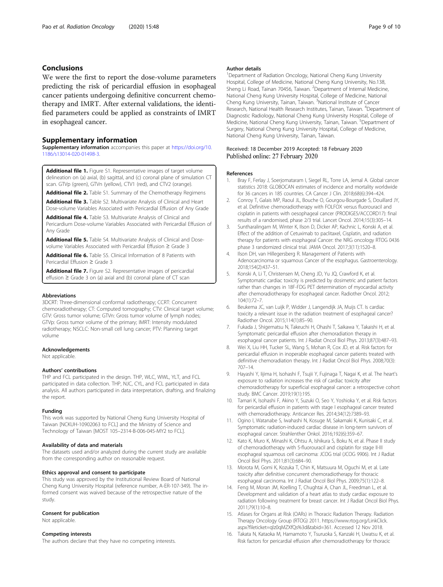# <span id="page-8-0"></span>Conclusions

We were the first to report the dose-volume parameters predicting the risk of pericardial effusion in esophageal cancer patients undergoing definitive concurrent chemotherapy and IMRT. After external validations, the identified parameters could be applied as constraints of IMRT in esophageal cancer.

# Supplementary information

Supplementary information accompanies this paper at [https://doi.org/10.](https://doi.org/10.1186/s13014-020-01498-3) [1186/s13014-020-01498-3](https://doi.org/10.1186/s13014-020-01498-3).

Additional file 1. Figure S1. Representative images of target volume delineation on (a) axial, (b) sagittal, and (c) coronal plane of simulation CT scan. GTVp (green), GTVn (yellow), CTV1 (red), and CTV2 (orange).

Additional file 2. Table S1. Summary of the Chemotherapy Regimens Additional file 3. Table S2. Multivariate Analysis of Clinical and Heart

Dose-volume Variables Associated with Pericardial Effusion of Any Grade Additional file 4. Table S3. Multivariate Analysis of Clinical and

Pericardium Dose-volume Variables Associated with Pericardial Effusion of Any Grade

Additional file 5. Table S4. Multivariate Analysis of Clinical and Dosevolume Variables Associated with Pericardial Effusion ≥ Grade 3

Additional file 6. Table S5. Clinical Information of 8 Patients with Pericardial Effusion ≥ Grade 3

Additional file 7. Figure S2. Representative images of pericardial effusion ≥ Grade 3 on (a) axial and (b) coronal plane of CT scan

#### Abbreviations

3DCRT: Three-dimensional conformal radiotherapy; CCRT: Concurrent chemoradiotherapy; CT: Computed tomography; CTV: Clinical target volume; GTV: Gross tumor volume; GTVn: Gross tumor volume of lymph nodes; GTVp: Gross tumor volume of the primary; IMRT: Intensity modulated radiotherapy; NSCLC: Non-small cell lung cancer; PTV: Planning target volume

#### Acknowledgements

Not applicable.

#### Authors' contributions

THP and FCL participated in the design. THP, WLC, WWL, YLT, and FCL participated in data collection. THP, NJC, CYL, and FCL participated in data analysis. All authors participated in data interpretation, drafting, and finalizing the report.

#### Funding

This work was supported by National Cheng Kung University Hospital of Taiwan [NCKUH-10902063 to FCL] and the Ministry of Science and Technology of Taiwan [MOST 105–2314-B-006-045-MY2 to FCL].

#### Availability of data and materials

The datasets used and/or analyzed during the current study are available from the corresponding author on reasonable request.

#### Ethics approval and consent to participate

This study was approved by the Institutional Review Board of National Cheng Kung University Hospital (reference number, A-ER-107-349). The informed consent was waived because of the retrospective nature of the study.

# Consent for publication

Not applicable.

# Competing interests

The authors declare that they have no competing interests.

### Author details

<sup>1</sup>Department of Radiation Oncology, National Cheng Kung University Hospital, College of Medicine, National Cheng Kung University, No.138, Sheng Li Road, Tainan 70456, Taiwan. <sup>2</sup>Department of Internal Medicine National Cheng Kung University Hospital, College of Medicine, National Cheng Kung University, Tainan, Taiwan. <sup>3</sup>National Institute of Cancer Research, National Health Research Institutes, Tainan, Taiwan. <sup>4</sup>Department of Diagnostic Radiology, National Cheng Kung University Hospital, College of Medicine, National Cheng Kung University, Tainan, Taiwan. <sup>5</sup>Department of Surgery, National Cheng Kung University Hospital, College of Medicine, National Cheng Kung University, Tainan, Taiwan.

# Received: 18 December 2019 Accepted: 18 February 2020 Published online: 27 February 2020

#### References

- 1. Bray F, Ferlay J, Soerjomataram I, Siegel RL, Torre LA, Jemal A. Global cancer statistics 2018: GLOBOCAN estimates of incidence and mortality worldwide for 36 cancers in 185 countries. CA Cancer J Clin. 2018;68(6):394–424.
- 2. Conroy T, Galais MP, Raoul JL, Bouche O, Gourgou-Bourgade S, Douillard JY, et al. Definitive chemoradiotherapy with FOLFOX versus fluorouracil and cisplatin in patients with oesophageal cancer (PRODIGE5/ACCORD17): final results of a randomised, phase 2/3 trial. Lancet Oncol. 2014;15(3):305–14.
- 3. Suntharalingam M, Winter K, Ilson D, Dicker AP, Kachnic L, Konski A, et al. Effect of the addition of Cetuximab to paclitaxel, Cisplatin, and radiation therapy for patients with esophageal Cancer: the NRG oncology RTOG 0436 phase 3 randomized clinical trial. JAMA Oncol. 2017;3(11):1520–8.
- 4. Ilson DH, van Hillegersberg R. Management of Patients with Adenocarcinoma or squamous Cancer of the esophagus. Gastroenterology. 2018;154(2):437–51.
- 5. Konski A, Li T, Christensen M, Cheng JD, Yu JQ, Crawford K, et al. Symptomatic cardiac toxicity is predicted by dosimetric and patient factors rather than changes in 18F-FDG PET determination of myocardial activity after chemoradiotherapy for esophageal cancer. Radiother Oncol. 2012; 104(1):72–7.
- 6. Beukema JC, van Luijk P, Widder J, Langendijk JA, Muijs CT. Is cardiac toxicity a relevant issue in the radiation treatment of esophageal cancer? Radiother Oncol. 2015;114(1):85–90.
- 7. Fukada J, Shigematsu N, Takeuchi H, Ohashi T, Saikawa Y, Takaishi H, et al. Symptomatic pericardial effusion after chemoradiation therapy in esophageal cancer patients. Int J Radiat Oncol Biol Phys. 2013;87(3):487–93.
- 8. Wei X, Liu HH, Tucker SL, Wang S, Mohan R, Cox JD, et al. Risk factors for pericardial effusion in inoperable esophageal cancer patients treated with definitive chemoradiation therapy. Int J Radiat Oncol Biol Phys. 2008;70(3): 707–14.
- 9. Hayashi Y, Iijima H, Isohashi F, Tsujii Y, Fujinaga T, Nagai K, et al. The heart's exposure to radiation increases the risk of cardiac toxicity after chemoradiotherapy for superficial esophageal cancer: a retrospective cohort study. BMC Cancer. 2019;19(1):195.
- 10. Tamari K, Isohashi F, Akino Y, Suzuki O, Seo Y, Yoshioka Y, et al. Risk factors for pericardial effusion in patients with stage I esophageal cancer treated with chemoradiotherapy. Anticancer Res. 2014;34(12):7389–93.
- 11. Ogino I, Watanabe S, Iwahashi N, Kosuge M, Sakamaki K, Kunisaki C, et al. Symptomatic radiation-induced cardiac disease in long-term survivors of esophageal cancer. Strahlenther Onkol. 2016;192(6):359–67.
- 12. Kato K, Muro K, Minashi K, Ohtsu A, Ishikura S, Boku N, et al. Phase II study of chemoradiotherapy with 5-fluorouracil and cisplatin for stage II-III esophageal squamous cell carcinoma: JCOG trial (JCOG 9906). Int J Radiat Oncol Biol Phys. 2011;81(3):684–90.
- 13. Morota M, Gomi K, Kozuka T, Chin K, Matsuura M, Oguchi M, et al. Late toxicity after definitive concurrent chemoradiotherapy for thoracic esophageal carcinoma. Int J Radiat Oncol Biol Phys. 2009;75(1):122–8.
- 14. Feng M, Moran JM, Koelling T, Chughtai A, Chan JL, Freedman L, et al. Development and validation of a heart atlas to study cardiac exposure to radiation following treatment for breast cancer. Int J Radiat Oncol Biol Phys. 2011;79(1):10–8.
- 15. Atlases for Organs at Risk (OARs) in Thoracic Radiation Therapy. Radiation Therapy Oncology Group (RTOG) 2011. https://www.rtog.org/LinkClick. aspx?fileticket=qlz0qMZXfQs%3d&tabid=361. Accessed 12 Nov 2018.
- 16. Takata N, Kataoka M, Hamamoto Y, Tsuruoka S, Kanzaki H, Uwatsu K, et al. Risk factors for pericardial effusion after chemoradiotherapy for thoracic